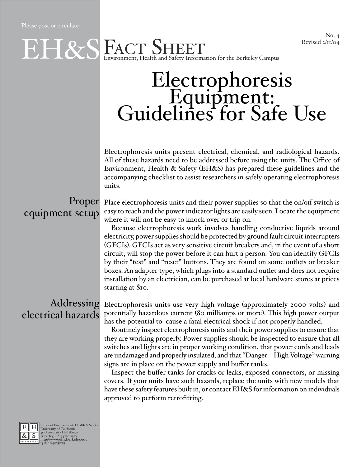No. 4<br>Revised 2/11/04

#### ENCT SHEET Revised 2/11/04 Environment, Health and Safety Information for the Berkeley Campus

# Electrophoresis Equipment: Guidelines for Safe Use

Electrophoresis units present electrical, chemical, and radiological hazards. All of these hazards need to be addressed before using the units. The Office of Environment, Health & Safety (EH&S) has prepared these guidelines and the accompanying checklist to assist researchers in safely operating electrophoresis units.

## equipment setup

 $\begin{aligned} \textbf{Property:} \end{aligned}$  Place electrophoresis units and their power supplies so that the on/off switch is easy to reach and the power-indicator lights are easily seen. Locate the equipment where it will not be easy to knock over or trip on.

> Because electrophoresis work involves handling conductive liquids around electricity, power supplies should be protected by ground fault circuit interrupters (GFCIs). GFCIs act as very sensitive circuit breakers and, in the event of a short circuit, will stop the power before it can hurt a person. You can identify GFCIs by their "test" and "reset" buttons. They are found on some outlets or breaker boxes. An adapter type, which plugs into a standard outlet and does not require installation by an electrician, can be purchased at local hardware stores at prices starting at \$10.

### electrical hazards

Addressing Electrophoresis units use very high voltage (approximately 2000 volts) and potentially hazardous current (80 milliamps or more). This high power output has the potential to cause a fatal electrical shock if not properly handled.

> Routinely inspect electrophoresis units and their power supplies to ensure that they are working properly. Power supplies should be inspected to ensure that all switches and lights are in proper working condition, that power cords and leads are undamaged and properly insulated, and that "Danger—High Voltage" warning signs are in place on the power supply and buffer tanks.

> Inspect the buffer tanks for cracks or leaks, exposed connectors, or missing covers. If your units have such hazards, replace the units with new models that have these safety features built in, or contact EH&S for information on individuals approved to perform retrofitting.



E H Office of Environment, Health & Safety<br>  $\frac{R}{\mathcal{R}}$  S Berkeley, CA 94720-1150<br> **BERKELEY, CA 94720-1150**<br> **REGIST BERKELEY, CA 94720-1150**<br> **REGIST BERKELEY, CA 94720-1150**<br> **SERKELEY (510) 642-3073**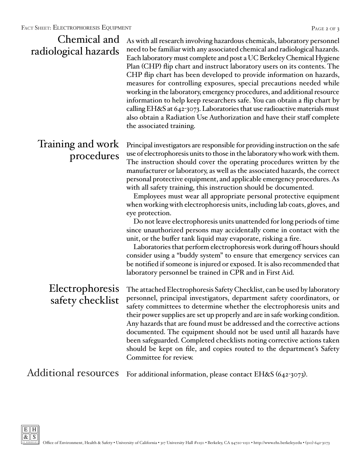| Chemical and<br>radiological hazards | As with all research involving hazardous chemicals, laboratory personnel<br>need to be familiar with any associated chemical and radiological hazards.<br>Each laboratory must complete and post a UC Berkeley Chemical Hygiene<br>Plan (CHP) flip chart and instruct laboratory users on its contents. The<br>CHP flip chart has been developed to provide information on hazards,<br>measures for controlling exposures, special precautions needed while<br>working in the laboratory, emergency procedures, and additional resource<br>information to help keep researchers safe. You can obtain a flip chart by<br>calling EH&S at 642-3073. Laboratories that use radioactive materials must<br>also obtain a Radiation Use Authorization and have their staff complete<br>the associated training.                                                                                                                                                                                                                                                                                                                                             |
|--------------------------------------|-------------------------------------------------------------------------------------------------------------------------------------------------------------------------------------------------------------------------------------------------------------------------------------------------------------------------------------------------------------------------------------------------------------------------------------------------------------------------------------------------------------------------------------------------------------------------------------------------------------------------------------------------------------------------------------------------------------------------------------------------------------------------------------------------------------------------------------------------------------------------------------------------------------------------------------------------------------------------------------------------------------------------------------------------------------------------------------------------------------------------------------------------------|
| Training and work<br>procedures      | Principal investigators are responsible for providing instruction on the safe<br>use of electrophoresis units to those in the laboratory who work with them.<br>The instruction should cover the operating procedures written by the<br>manufacturer or laboratory, as well as the associated hazards, the correct<br>personal protective equipment, and applicable emergency procedures. As<br>with all safety training, this instruction should be documented.<br>Employees must wear all appropriate personal protective equipment<br>when working with electrophoresis units, including lab coats, gloves, and<br>eye protection.<br>Do not leave electrophoresis units unattended for long periods of time<br>since unauthorized persons may accidentally come in contact with the<br>unit, or the buffer tank liquid may evaporate, risking a fire.<br>Laboratories that perform electrophoresis work during off hours should<br>consider using a "buddy system" to ensure that emergency services can<br>be notified if someone is injured or exposed. It is also recommended that<br>laboratory personnel be trained in CPR and in First Aid. |
| safety checklist                     | Electrophoresis The attached Electrophoresis Safety Checklist, can be used by laboratory<br>personnel, principal investigators, department safety coordinators, or<br>safety committees to determine whether the electrophoresis units and<br>their power supplies are set up properly and are in safe working condition.<br>Any hazards that are found must be addressed and the corrective actions<br>documented. The equipment should not be used until all hazards have<br>been safeguarded. Completed checklists noting corrective actions taken<br>should be kept on file, and copies routed to the department's Safety<br>Committee for review.                                                                                                                                                                                                                                                                                                                                                                                                                                                                                                |
| <b>Additional resources</b>          | For additional information, please contact EH&S (642-3073).                                                                                                                                                                                                                                                                                                                                                                                                                                                                                                                                                                                                                                                                                                                                                                                                                                                                                                                                                                                                                                                                                           |